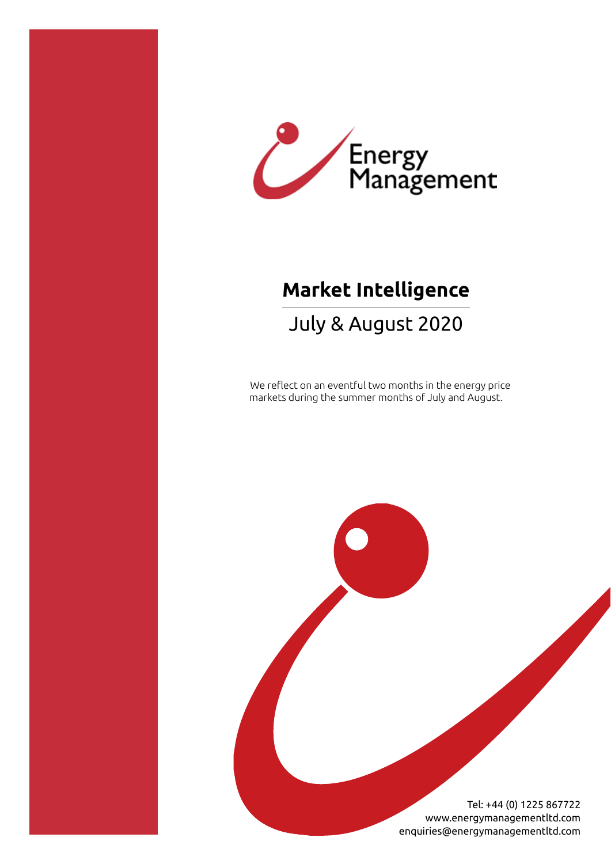

# **Market Intelligence**

## July & August 2020

We reflect on an eventful two months in the energy price markets during the summer months of July and August.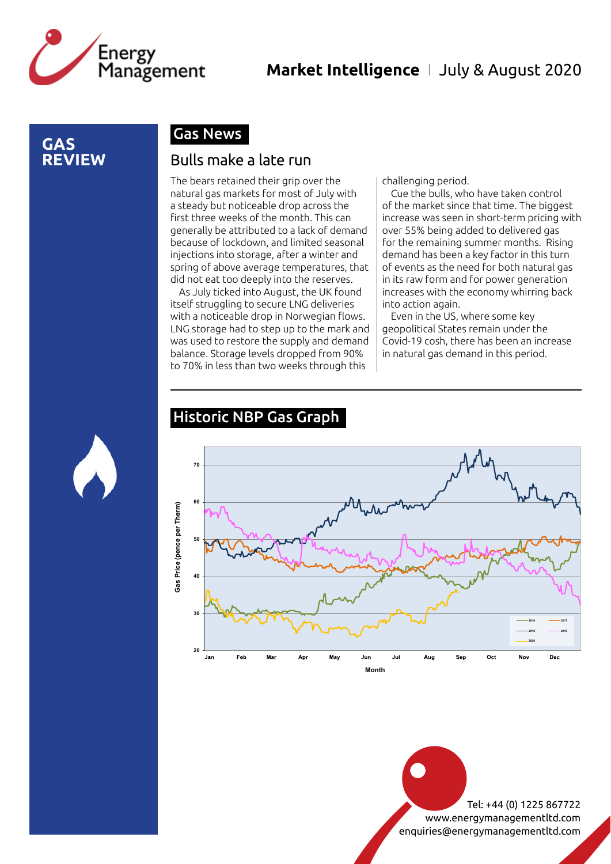

#### **GAS REVIEW**

## Gas News

#### Bulls make a late run

The bears retained their grip over the natural gas markets for most of July with a steady but noticeable drop across the first three weeks of the month. This can generally be attributed to a lack of demand because of lockdown, and limited seasonal injections into storage, after a winter and spring of above average temperatures, that did not eat too deeply into the reserves.

As July ticked into August, the UK found itself struggling to secure LNG deliveries with a noticeable drop in Norwegian flows. LNG storage had to step up to the mark and was used to restore the supply and demand balance. Storage levels dropped from 90% to 70% in less than two weeks through this

challenging period.

Cue the bulls, who have taken control of the market since that time. The biggest increase was seen in short-term pricing with over 55% being added to delivered gas for the remaining summer months. Rising demand has been a key factor in this turn of events as the need for both natural gas in its raw form and for power generation increases with the economy whirring back into action again.

Even in the US, where some key geopolitical States remain under the Covid-19 cosh, there has been an increase in natural gas demand in this period.

#### Historic NBP Gas Graph

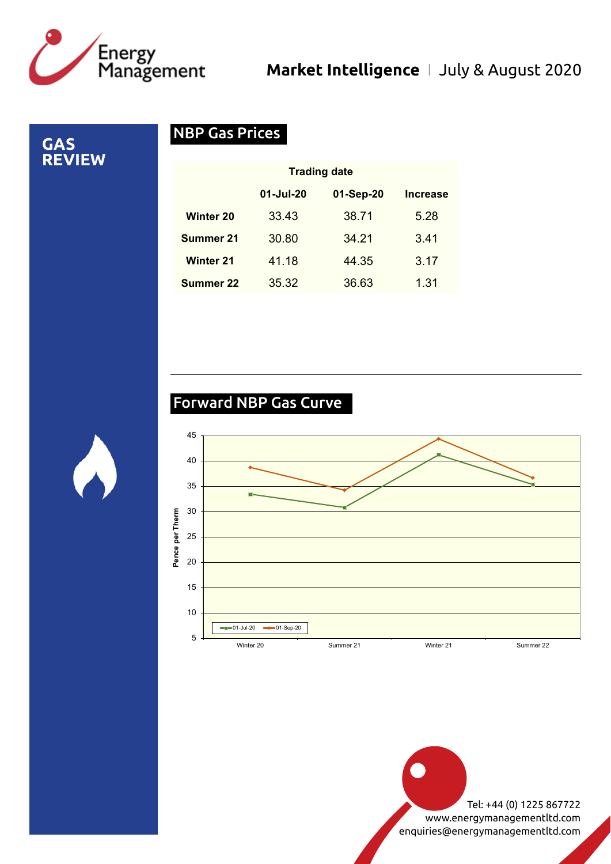

**GAS REVIEW**

## NBP Gas Prices

|                  | <b>Trading date</b> |           |                 |
|------------------|---------------------|-----------|-----------------|
|                  | 01-Jul-20           | 01-Sep-20 | <b>Increase</b> |
| <b>Winter 20</b> | 33.43               | 38.71     | 5.28            |
| <b>Summer 21</b> | 30.80               | 34.21     | 3.41            |
| <b>Winter 21</b> | 41.18               | 44.35     | 3.17            |
| Summer 22        | 35.32               | 36.63     | 1.31            |

## Forward NBP Gas Curve

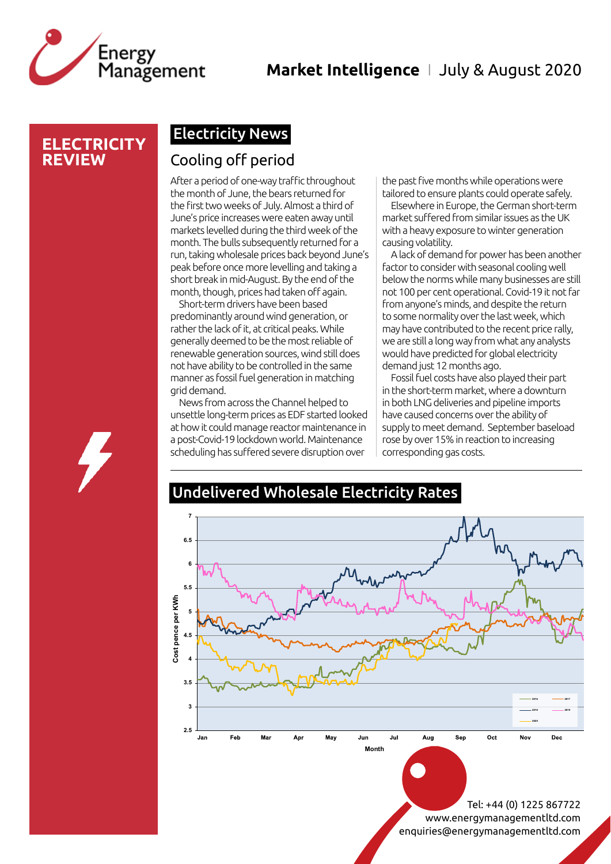

#### **ELECTRICITY REVIEW**

## Electricity News

#### Cooling off period

After a period of one-way traffic throughout the month of June, the bears returned for the first two weeks of July. Almost a third of June's price increases were eaten away until markets levelled during the third week of the month. The bulls subsequently returned for a run, taking wholesale prices back beyond June's peak before once more levelling and taking a short break in mid-August. By the end of the month, though, prices had taken off again.

Short-term drivers have been based predominantly around wind generation, or rather the lack of it, at critical peaks. While generally deemed to be the most reliable of renewable generation sources, wind still does not have ability to be controlled in the same manner as fossil fuel generation in matching grid demand.

News from across the Channel helped to unsettle long-term prices as EDF started looked at how it could manage reactor maintenance in a post-Covid-19 lockdown world. Maintenance scheduling has suffered severe disruption over

the past five months while operations were tailored to ensure plants could operate safely.

Elsewhere in Europe, the German short-term market suffered from similar issues as the UK with a heavy exposure to winter generation causing volatility.

A lack of demand for power has been another factor to consider with seasonal cooling well below the norms while many businesses are still not 100 per cent operational. Covid-19 it not far from anyone's minds, and despite the return to some normality over the last week, which may have contributed to the recent price rally, we are still a long way from what any analysts would have predicted for global electricity demand just 12 months ago.

Fossil fuel costs have also played their part in the short-term market, where a downturn in both LNG deliveries and pipeline imports have caused concerns over the ability of supply to meet demand. September baseload rose by over 15% in reaction to increasing corresponding gas costs.

#### Undelivered Wholesale Electricity Rates

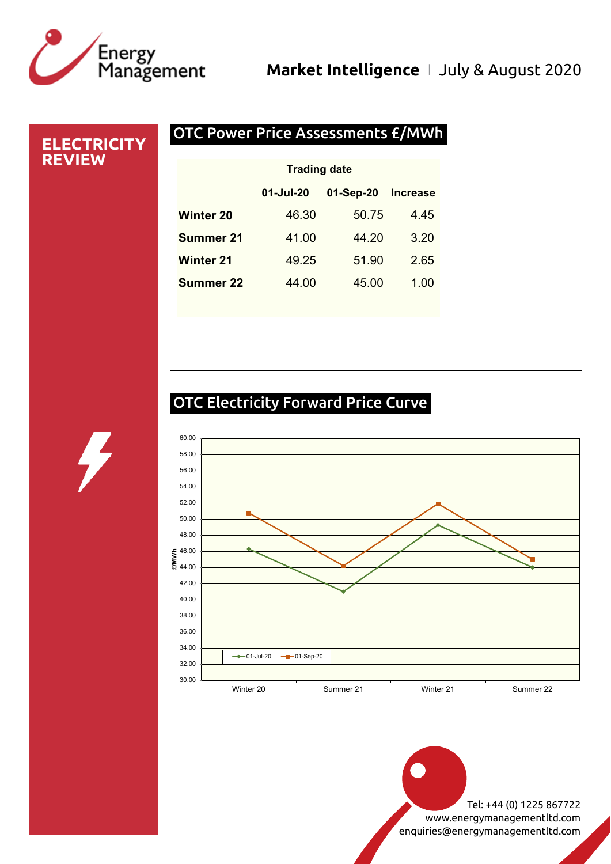

#### OTC Power Price Assessments £/MWh **ELECTRICITY REVIEW** 01-Jul-20 01-Sep-20 Increase Winter 20 46.30 50.75 4.45 **Summer 21** 41.00 44.20 3.20 Winter 21 49.25 51.90 2.65 **Summer 22** 44.00 45.00 1.00 Trading date

## OTC Electricity Forward Price Curve